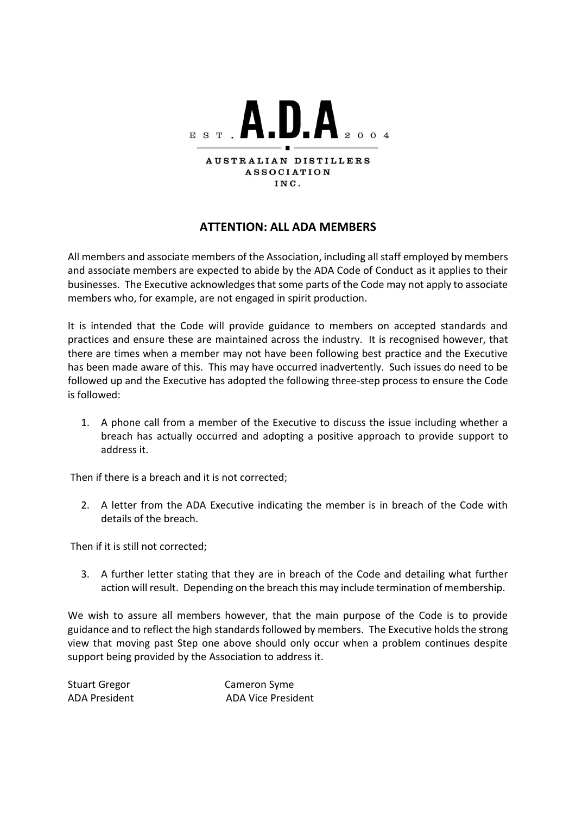

## **ATTENTION: ALL ADA MEMBERS**

All members and associate members of the Association, including all staff employed by members and associate members are expected to abide by the ADA Code of Conduct as it applies to their businesses. The Executive acknowledges that some parts of the Code may not apply to associate members who, for example, are not engaged in spirit production.

It is intended that the Code will provide guidance to members on accepted standards and practices and ensure these are maintained across the industry. It is recognised however, that there are times when a member may not have been following best practice and the Executive has been made aware of this. This may have occurred inadvertently. Such issues do need to be followed up and the Executive has adopted the following three-step process to ensure the Code is followed:

1. A phone call from a member of the Executive to discuss the issue including whether a breach has actually occurred and adopting a positive approach to provide support to address it.

Then if there is a breach and it is not corrected;

2. A letter from the ADA Executive indicating the member is in breach of the Code with details of the breach.

Then if it is still not corrected;

3. A further letter stating that they are in breach of the Code and detailing what further action will result. Depending on the breach this may include termination of membership.

We wish to assure all members however, that the main purpose of the Code is to provide guidance and to reflect the high standards followed by members. The Executive holds the strong view that moving past Step one above should only occur when a problem continues despite support being provided by the Association to address it.

| <b>Stuart Gregor</b> | Cameron Syme              |
|----------------------|---------------------------|
| ADA President        | <b>ADA Vice President</b> |